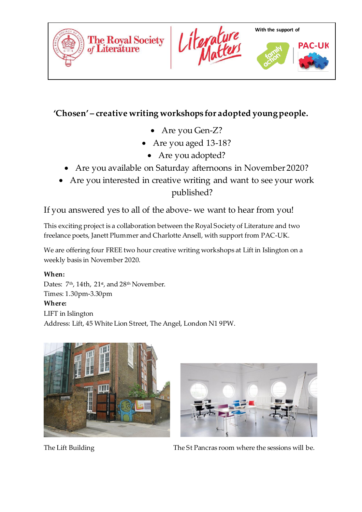





# **'Chosen' – creative writing workshops for adopted young people.**

- Are you Gen-Z?
- Are you aged 13-18?
	- Are you adopted?
- Are you available on Saturday afternoons in November 2020?
- Are you interested in creative writing and want to see your work published?

If you answered yes to all of the above- we want to hear from you!

This exciting project is a collaboration between the Royal Society of Literature and two freelance poets, Janett Plummer and Charlotte Ansell, with support from PAC-UK.

We are offering four FREE two hour creative writing workshops at Lift in Islington on a weekly basis in November 2020.

# **When:**

Dates:  $7<sup>th</sup>$ , 14th, 21 $<sup>st</sup>$ , and 28<sup>th</sup> November.</sup> Times: 1.30pm-3.30pm **Where:**  LIFT in Islington Address: Lift, 45 White Lion Street, The Angel, London N1 9PW.





The Lift Building The St Pancras room where the sessions will be.